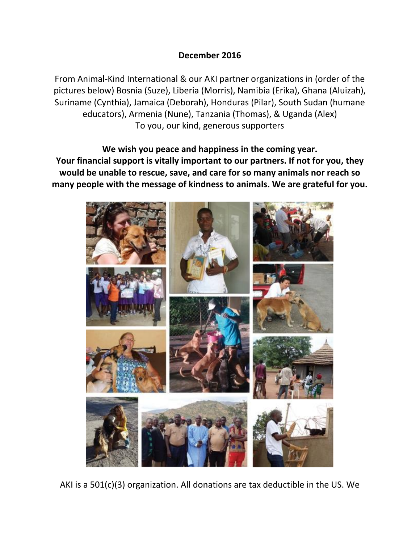## **December 2016**

From Animal-Kind International & our AKI partner organizations in (order of the pictures below) Bosnia (Suze), Liberia (Morris), Namibia (Erika), Ghana (Aluizah), Suriname (Cynthia), Jamaica (Deborah), Honduras (Pilar), South Sudan (humane educators), Armenia (Nune), Tanzania (Thomas), & Uganda (Alex) To you, our kind, generous supporters

**We wish you peace and happiness in the coming year. Your financial support is vitally important to our partners. If not for you, they would be unable to rescue, save, and care for so many animals nor reach so many people with the message of kindness to animals. We are grateful for you.**



AKI is a 501(c)(3) organization. All donations are tax deductible in the US. We